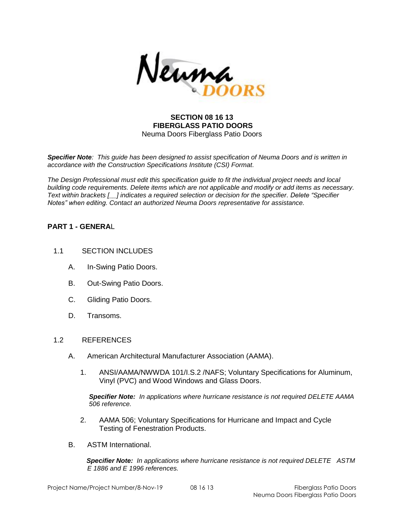

#### **SECTION 08 16 13 FIBERGLASS PATIO DOORS** Neuma Doors Fiberglass Patio Doors

*Specifier Note: This guide has been designed to assist specification of Neuma Doors and is written in accordance with the Construction Specifications Institute (CSI) Format.* 

*The Design Professional must edit this specification guide to fit the individual project needs and local building code requirements. Delete items which are not applicable and modify or add items as necessary. Text within brackets [\_\_] indicates a required selection or decision for the specifier. Delete "Specifier Notes" when editing. Contact an authorized Neuma Doors representative for assistance.* 

## **PART 1 - GENERA**L

- 1.1 SECTION INCLUDES
	- A. In-Swing Patio Doors.
	- B. Out-Swing Patio Doors.
	- C. Gliding Patio Doors.
	- D. Transoms.

#### 1.2 REFERENCES

- A. American Architectural Manufacturer Association (AAMA).
	- 1. ANSI/AAMA/NWWDA 101/I.S.2 /NAFS; Voluntary Specifications for Aluminum, Vinyl (PVC) and Wood Windows and Glass Doors.

*Specifier Note: In applications where hurricane resistance is not required DELETE AAMA 506 reference.*

- 2. AAMA 506; Voluntary Specifications for Hurricane and Impact and Cycle Testing of Fenestration Products.
- B. ASTM International.

 *Specifier Note: In applications where hurricane resistance is not required DELETE ASTM E 1886 and E 1996 references.*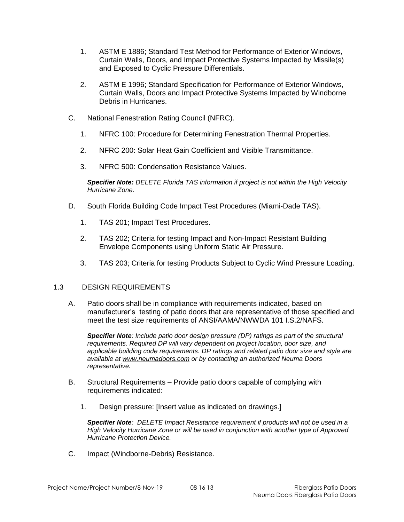- 1. ASTM E 1886; Standard Test Method for Performance of Exterior Windows, Curtain Walls, Doors, and Impact Protective Systems Impacted by Missile(s) and Exposed to Cyclic Pressure Differentials.
- 2. ASTM E 1996; Standard Specification for Performance of Exterior Windows, Curtain Walls, Doors and Impact Protective Systems Impacted by Windborne Debris in Hurricanes.
- C. National Fenestration Rating Council (NFRC).
	- 1. NFRC 100: Procedure for Determining Fenestration Thermal Properties.
	- 2. NFRC 200: Solar Heat Gain Coefficient and Visible Transmittance.
	- 3. NFRC 500: Condensation Resistance Values.

*Specifier Note: DELETE Florida TAS information if project is not within the High Velocity Hurricane Zone.*

- D. South Florida Building Code Impact Test Procedures (Miami-Dade TAS).
	- 1. TAS 201; Impact Test Procedures.
	- 2. TAS 202; Criteria for testing Impact and Non-Impact Resistant Building Envelope Components using Uniform Static Air Pressure.
	- 3. TAS 203; Criteria for testing Products Subject to Cyclic Wind Pressure Loading.

## 1.3 DESIGN REQUIREMENTS

A. Patio doors shall be in compliance with requirements indicated, based on manufacturer's testing of patio doors that are representative of those specified and meet the test size requirements of ANSI/AAMA/NWWDA 101 I.S.2/NAFS.

*Specifier Note: Include patio door design pressure (DP) ratings as part of the structural requirements. Required DP will vary dependent on project location, door size, and applicable building code requirements. DP ratings and related patio door size and style are available at [www.neumadoors.com](http://www.neumadoors.com/) or by contacting an authorized Neuma Doors representative.*

- B. Structural Requirements Provide patio doors capable of complying with requirements indicated:
	- 1. Design pressure: [Insert value as indicated on drawings.]

*Specifier Note: DELETE Impact Resistance requirement if products will not be used in a High Velocity Hurricane Zone or will be used in conjunction with another type of Approved Hurricane Protection Device.*

C. Impact (Windborne-Debris) Resistance.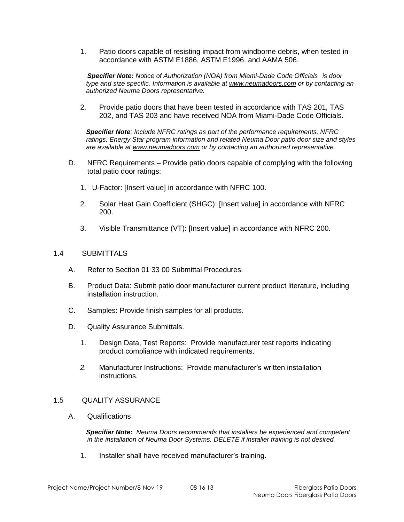1. Patio doors capable of resisting impact from windborne debris, when tested in accordance with ASTM E1886, ASTM E1996, and AAMA 506.

*Specifier Note: Notice of Authorization (NOA) from Miami-Dade Code Officials is door type and size specific. Information is available at [www.neumadoors.com](http://www.neumadoors.com/) or by contacting an authorized Neuma Doors representative.*

2. Provide patio doors that have been tested in accordance with TAS 201, TAS 202, and TAS 203 and have received NOA from Miami-Dade Code Officials.

*Specifier Note: Include NFRC ratings as part of the performance requirements. NFRC ratings, Energy Star program information and related Neuma Door patio door size and styles are available at [www.neumadoors.com](http://www.neumadoors.com/) or by contacting an authorized representative.*

- D. NFRC Requirements Provide patio doors capable of complying with the following total patio door ratings:
	- 1. U-Factor: [Insert value] in accordance with NFRC 100.
	- 2. Solar Heat Gain Coefficient (SHGC): [Insert value] in accordance with NFRC 200.
	- 3. Visible Transmittance (VT): [Insert value] in accordance with NFRC 200.

#### 1.4 SUBMITTALS

- A. Refer to Section 01 33 00 Submittal Procedures.
- B. Product Data: Submit patio door manufacturer current product literature, including installation instruction.
- C. Samples: Provide finish samples for all products.
- D. Quality Assurance Submittals.
	- 1. Design Data, Test Reports: Provide manufacturer test reports indicating product compliance with indicated requirements.
	- *2.* Manufacturer Instructions: Provide manufacturer's written installation instructions.

#### 1.5 QUALITY ASSURANCE

A. Qualifications.

*Specifier Note: Neuma Doors recommends that installers be experienced and competent in the installation of Neuma Door Systems. DELETE if installer training is not desired.*

1. Installer shall have received manufacturer's training.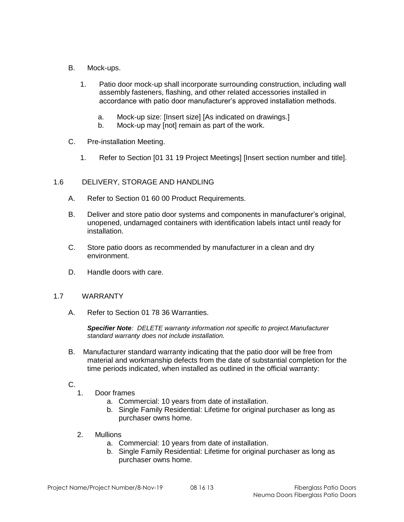- B. Mock-ups.
	- 1. Patio door mock-up shall incorporate surrounding construction, including wall assembly fasteners, flashing, and other related accessories installed in accordance with patio door manufacturer's approved installation methods.
		- a. Mock-up size: [Insert size] [As indicated on drawings.]
		- b. Mock-up may [not] remain as part of the work.
- C. Pre-installation Meeting.
	- 1. Refer to Section [01 31 19 Project Meetings] [Insert section number and title].

## 1.6 DELIVERY, STORAGE AND HANDLING

- A. Refer to Section 01 60 00 Product Requirements.
- B. Deliver and store patio door systems and components in manufacturer's original, unopened, undamaged containers with identification labels intact until ready for installation.
- C. Store patio doors as recommended by manufacturer in a clean and dry environment.
- D. Handle doors with care.

## 1.7 WARRANTY

A. Refer to Section 01 78 36 Warranties.

*Specifier Note: DELETE warranty information not specific to project.Manufacturer standard warranty does not include installation.*

- B. Manufacturer standard warranty indicating that the patio door will be free from material and workmanship defects from the date of substantial completion for the time periods indicated, when installed as outlined in the official warranty:
- C.
	- 1. Door frames
		- a. Commercial: 10 years from date of installation.
		- b. Single Family Residential: Lifetime for original purchaser as long as purchaser owns home.
	- 2. Mullions
		- a. Commercial: 10 years from date of installation.
		- b. Single Family Residential: Lifetime for original purchaser as long as purchaser owns home.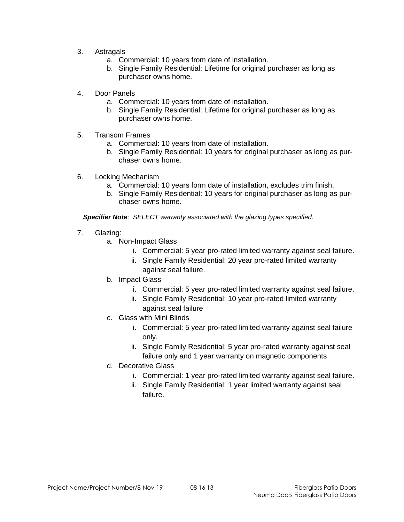- 3. Astragals
	- a. Commercial: 10 years from date of installation.
	- b. Single Family Residential: Lifetime for original purchaser as long as purchaser owns home.
- 4. Door Panels
	- a. Commercial: 10 years from date of installation.
	- b. Single Family Residential: Lifetime for original purchaser as long as purchaser owns home.
- 5. Transom Frames
	- a. Commercial: 10 years from date of installation.
	- b. Single Family Residential: 10 years for original purchaser as long as purchaser owns home.
- 6. Locking Mechanism
	- a. Commercial: 10 years form date of installation, excludes trim finish.
	- b. Single Family Residential: 10 years for original purchaser as long as purchaser owns home.

*Specifier Note: SELECT warranty associated with the glazing types specified.*

- 7. Glazing:
	- a. Non-Impact Glass
		- i. Commercial: 5 year pro-rated limited warranty against seal failure.
		- ii. Single Family Residential: 20 year pro-rated limited warranty against seal failure.
	- b. Impact Glass
		- i. Commercial: 5 year pro-rated limited warranty against seal failure.
		- ii. Single Family Residential: 10 year pro-rated limited warranty against seal failure
	- c. Glass with Mini Blinds
		- i. Commercial: 5 year pro-rated limited warranty against seal failure only.
		- ii. Single Family Residential: 5 year pro-rated warranty against seal failure only and 1 year warranty on magnetic components
	- d. Decorative Glass
		- i. Commercial: 1 year pro-rated limited warranty against seal failure.
		- ii. Single Family Residential: 1 year limited warranty against seal failure.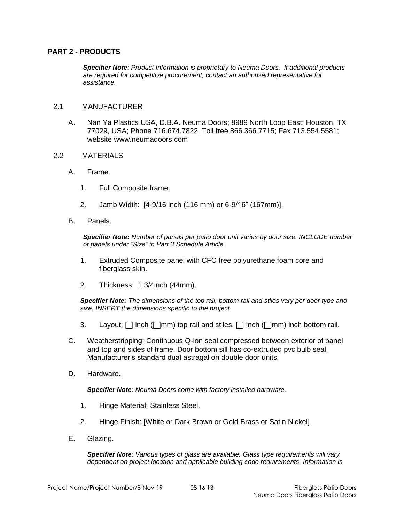## **PART 2 - PRODUCTS**

*Specifier Note: Product Information is proprietary to Neuma Doors. If additional products are required for competitive procurement, contact an authorized representative for assistance.*

#### 2.1 MANUFACTURER

A. Nan Ya Plastics USA, D.B.A. Neuma Doors; 8989 North Loop East; Houston, TX 77029, USA; Phone 716.674.7822, Toll free 866.366.7715; Fax 713.554.5581; website www.neumadoors.com

#### 2.2 MATERIALS

- A. Frame.
	- 1. Full Composite frame.
	- 2. Jamb Width: [4-9/16 inch (116 mm) or 6-9/16" (167mm)].
- B. Panels.

*Specifier Note: Number of panels per patio door unit varies by door size. INCLUDE number of panels under "Size" in Part 3 Schedule Article.*

- 1. Extruded Composite panel with CFC free polyurethane foam core and fiberglass skin.
- 2. Thickness: 1 3/4inch (44mm).

*Specifier Note: The dimensions of the top rail, bottom rail and stiles vary per door type and size. INSERT the dimensions specific to the project.*

- 3. Layout: [\_] inch ([\_]mm) top rail and stiles, [\_] inch ([\_]mm) inch bottom rail.
- C. Weatherstripping: Continuous Q-lon seal compressed between exterior of panel and top and sides of frame. Door bottom sill has co-extruded pvc bulb seal. Manufacturer's standard dual astragal on double door units.
- D. Hardware.

*Specifier Note: Neuma Doors come with factory installed hardware.*

- 1. Hinge Material: Stainless Steel.
- 2. Hinge Finish: [White or Dark Brown or Gold Brass or Satin Nickel].
- E. Glazing.

*Specifier Note: Various types of glass are available. Glass type requirements will vary dependent on project location and applicable building code requirements. Information is*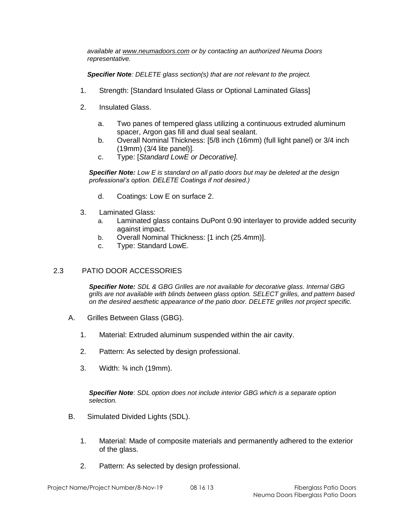*available at [www.neumadoors.com](http://www.neumadoors.com/) or by contacting an authorized Neuma Doors representative.*

*Specifier Note: DELETE glass section(s) that are not relevant to the project.*

- 1. Strength: [Standard Insulated Glass or Optional Laminated Glass]
- 2. Insulated Glass.
	- a. Two panes of tempered glass utilizing a continuous extruded aluminum spacer, Argon gas fill and dual seal sealant.
	- b. Overall Nominal Thickness: [5/8 inch (16mm) (full light panel) or 3/4 inch (19mm) (3/4 lite panel)].
	- c. Type: [*Standard LowE or Decorative].*

*Specifier Note: Low E is standard on all patio doors but may be deleted at the design professional's option. DELETE Coatings if not desired.)*

- d. Coatings: Low E on surface 2.
- 3. Laminated Glass:
	- a. Laminated glass contains DuPont 0.90 interlayer to provide added security against impact.
	- b. Overall Nominal Thickness: [1 inch (25.4mm)].
	- c. Type: Standard LowE.

# 2.3 PATIO DOOR ACCESSORIES

*Specifier Note: SDL & GBG Grilles are not available for decorative glass. Internal GBG grills are not available with blinds between glass option. SELECT grilles, and pattern based on the desired aesthetic appearance of the patio door. DELETE grilles not project specific.*

- A. Grilles Between Glass (GBG).
	- 1. Material: Extruded aluminum suspended within the air cavity.
	- 2. Pattern: As selected by design professional.
	- 3. Width: ¾ inch (19mm).

*Specifier Note*: *SDL option does not include interior GBG which is a separate option selection.*

- B. Simulated Divided Lights (SDL).
	- 1. Material: Made of composite materials and permanently adhered to the exterior of the glass.
	- 2. Pattern: As selected by design professional.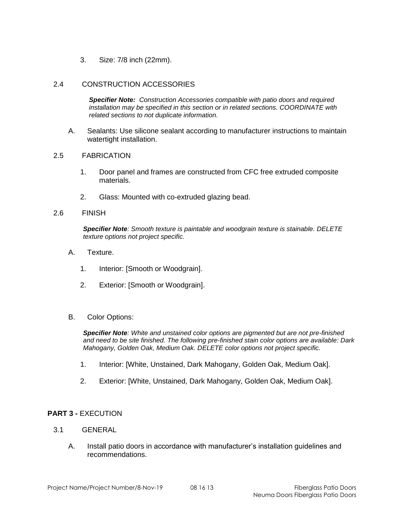3. Size: 7/8 inch (22mm).

#### 2.4 CONSTRUCTION ACCESSORIES

*Specifier Note: Construction Accessories compatible with patio doors and required installation may be specified in this section or in related sections. COORDINATE with related sections to not duplicate information.*

A. Sealants: Use silicone sealant according to manufacturer instructions to maintain watertight installation.

#### 2.5 FABRICATION

- 1. Door panel and frames are constructed from CFC free extruded composite materials.
- 2. Glass: Mounted with co-extruded glazing bead.

#### 2.6 FINISH

*Specifier Note: Smooth texture is paintable and woodgrain texture is stainable. DELETE texture options not project specific.*

- A. Texture.
	- 1. Interior: [Smooth or Woodgrain].
	- 2. Exterior: [Smooth or Woodgrain].
- B. Color Options:

*Specifier Note: White and unstained color options are pigmented but are not pre-finished and need to be site finished. The following pre-finished stain color options are available: Dark Mahogany, Golden Oak, Medium Oak. DELETE color options not project specific.*

- 1. Interior: [White, Unstained, Dark Mahogany, Golden Oak, Medium Oak].
- 2. Exterior: [White, Unstained, Dark Mahogany, Golden Oak, Medium Oak].

## **PART 3 -** EXECUTION

- 3.1 GENERAL
	- A. Install patio doors in accordance with manufacturer's installation guidelines and recommendations.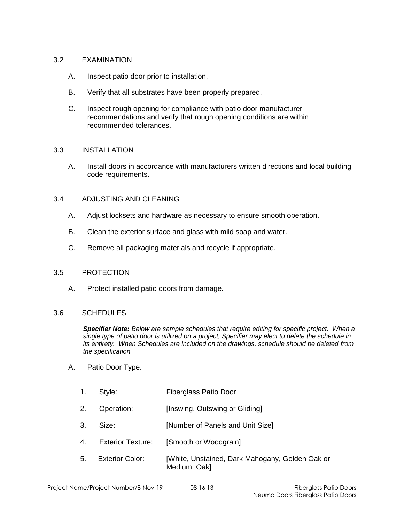## 3.2 EXAMINATION

- A. Inspect patio door prior to installation.
- B. Verify that all substrates have been properly prepared.
- C. Inspect rough opening for compliance with patio door manufacturer recommendations and verify that rough opening conditions are within recommended tolerances.

## 3.3 INSTALLATION

A. Install doors in accordance with manufacturers written directions and local building code requirements.

## 3.4 ADJUSTING AND CLEANING

- A. Adjust locksets and hardware as necessary to ensure smooth operation.
- B. Clean the exterior surface and glass with mild soap and water.
- C. Remove all packaging materials and recycle if appropriate.

## 3.5 PROTECTION

A. Protect installed patio doors from damage.

## 3.6 SCHEDULES

*Specifier Note: Below are sample schedules that require editing for specific project. When a single type of patio door is utilized on a project, Specifier may elect to delete the schedule in its entirety. When Schedules are included on the drawings, schedule should be deleted from the specification.*

## A. Patio Door Type.

- 1. Style: Fiberglass Patio Door
- 2. Operation: [Inswing, Outswing or Gliding]
- 3. Size: [Number of Panels and Unit Size]
- 4. Exterior Texture: [Smooth or Woodgrain]
- 5. Exterior Color: [White, Unstained, Dark Mahogany, Golden Oak or Medium Oak]